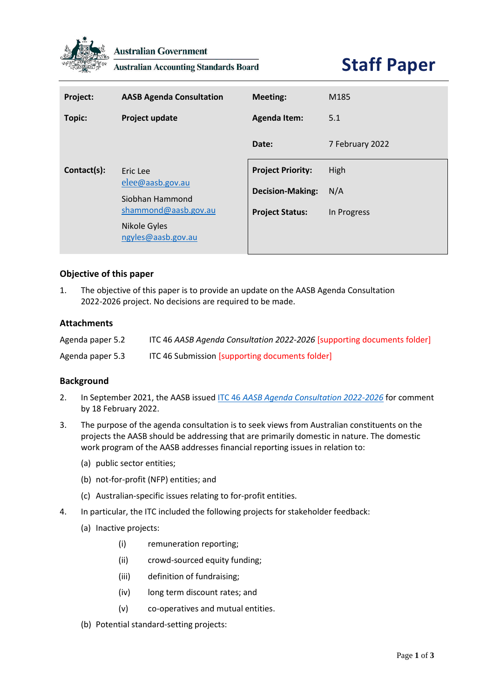

**Australian Government** 

**Australian Accounting Standards Board** 

| Project:    | <b>AASB Agenda Consultation</b>                                         | <b>Meeting:</b>          | M185            |
|-------------|-------------------------------------------------------------------------|--------------------------|-----------------|
| Topic:      | Project update                                                          | <b>Agenda Item:</b>      | 5.1             |
|             |                                                                         | Date:                    | 7 February 2022 |
| Contact(s): | Eric Lee<br>elee@aasb.gov.au<br>Siobhan Hammond<br>shammond@aasb.gov.au | <b>Project Priority:</b> | High            |
|             |                                                                         | <b>Decision-Making:</b>  | N/A             |
|             |                                                                         | <b>Project Status:</b>   | In Progress     |
|             | Nikole Gyles<br>ngyles@aasb.gov.au                                      |                          |                 |

# **Objective of this paper**

1. The objective of this paper is to provide an update on the AASB Agenda Consultation 2022-2026 project. No decisions are required to be made.

## **Attachments**

| Agenda paper 5.2 | ITC 46 AASB Agenda Consultation 2022-2026 [supporting documents folder] |
|------------------|-------------------------------------------------------------------------|
| Agenda paper 5.3 | ITC 46 Submission [supporting documents folder]                         |

## **Background**

- 2. In September 2021, the AASB issued ITC 46 *[AASB Agenda Consultation 2022-2026](https://www.aasb.gov.au/admin/file/content105/c9/ITC46_10-21.pdf)* for comment by 18 February 2022.
- 3. The purpose of the agenda consultation is to seek views from Australian constituents on the projects the AASB should be addressing that are primarily domestic in nature. The domestic work program of the AASB addresses financial reporting issues in relation to:
	- (a) public sector entities;
	- (b) not-for-profit (NFP) entities; and
	- (c) Australian-specific issues relating to for-profit entities.
- 4. In particular, the ITC included the following projects for stakeholder feedback:
	- (a) Inactive projects:
		- (i) remuneration reporting;
		- (ii) crowd-sourced equity funding;
		- (iii) definition of fundraising;
		- (iv) long term discount rates; and
		- (v) co-operatives and mutual entities.
	- (b) Potential standard-setting projects: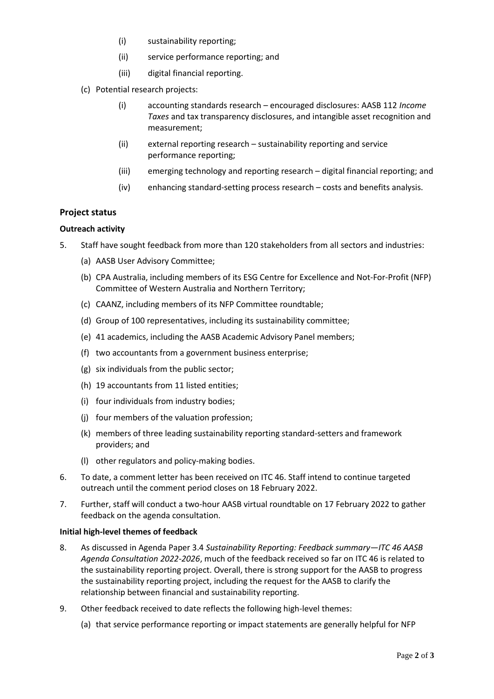- (i) sustainability reporting;
- (ii) service performance reporting; and
- (iii) digital financial reporting.
- (c) Potential research projects:
	- (i) accounting standards research encouraged disclosures: AASB 112 *Income Taxes* and tax transparency disclosures, and intangible asset recognition and measurement;
	- (ii) external reporting research sustainability reporting and service performance reporting;
	- (iii) emerging technology and reporting research digital financial reporting; and
	- (iv) enhancing standard-setting process research costs and benefits analysis.

# **Project status**

## **Outreach activity**

- 5. Staff have sought feedback from more than 120 stakeholders from all sectors and industries:
	- (a) AASB User Advisory Committee;
	- (b) CPA Australia, including members of its ESG Centre for Excellence and Not-For-Profit (NFP) Committee of Western Australia and Northern Territory;
	- (c) CAANZ, including members of its NFP Committee roundtable;
	- (d) Group of 100 representatives, including its sustainability committee;
	- (e) 41 academics, including the AASB Academic Advisory Panel members;
	- (f) two accountants from a government business enterprise;
	- (g) six individuals from the public sector;
	- (h) 19 accountants from 11 listed entities;
	- (i) four individuals from industry bodies;
	- (j) four members of the valuation profession;
	- (k) members of three leading sustainability reporting standard-setters and framework providers; and
	- (l) other regulators and policy-making bodies.
- 6. To date, a comment letter has been received on ITC 46. Staff intend to continue targeted outreach until the comment period closes on 18 February 2022.
- 7. Further, staff will conduct a two-hour AASB virtual roundtable on 17 February 2022 to gather feedback on the agenda consultation.

## **Initial high-level themes of feedback**

- 8. As discussed in Agenda Paper 3.4 *Sustainability Reporting: Feedback summary—ITC 46 AASB Agenda Consultation 2022-2026*, much of the feedback received so far on ITC 46 is related to the sustainability reporting project. Overall, there is strong support for the AASB to progress the sustainability reporting project, including the request for the AASB to clarify the relationship between financial and sustainability reporting.
- 9. Other feedback received to date reflects the following high-level themes:
	- (a) that service performance reporting or impact statements are generally helpful for NFP